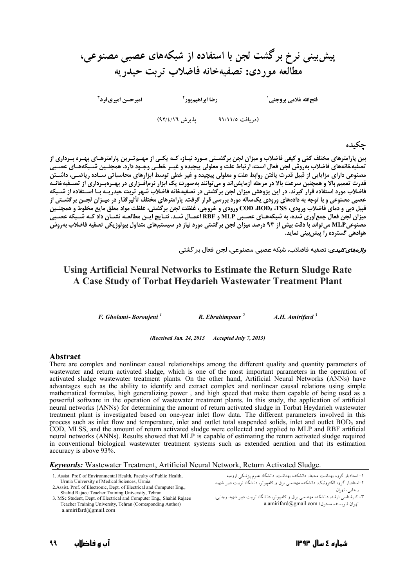# پیش بینی نرخ برگشت لجن با استفاده از شبکههای عصبی مصنوعی، مطالعه موردي: تصفيهخانه فاضلاب تربت حيدريه

امیرحسن امیریفرد<sup>۳</sup>

رضا ابراهيم پور<sup>۲</sup>

فتحالله غلامي بروجني ل

(دريافت ٩١/١١/٥ - پذيرش ٩٢/٤/١٦)

حكىدە

بین پارامترهای مختلف کمّی و کیفی فاضلاب و میزان لجن برگشـتی مـورد نیـاز، کـه یکـی از مهـمتـرین پارامترهـای بهـره بـرداری از .<br>تصفیه فانه های فاضلاب به روش لجن فعال است، ارتباط علت و معلولی پیچیده و غیــر خطـی وجــود دارد. همچنــین شــبكه هــای عصــبی<br>مصنوعی دارای مزایایی از قبیل قدرت یافتن روابط علت و معلولی پیچیده و غیر خطی توسط ابزارهای محاس . در کلی در این در سال سرعت بالا در مرحله آزمایش اند و می توانند به صورت یک ابزار نرم افـزاری در بهـرهبـرداری از تصـفیهخانـه<br>قدرت تعمیم بالا و همچنین سرعت بالا در مرحله آزمایش اند و می توانند به صورت یک ابزار نرم افـزاری . میگر از استفاده از دستار است برای مسیرت در این مسیر از است. است است به است از استفاده استفاده از مسیحه از اس<br>عصبی مصنوعی و با توجه به دادههای ورودی یکساله مورد بررسی قرار گرفت. پارامترهای مختلف تأثیرگذار در میـزان لجـن .<br>قبیل دبی و دمای فاضلاب ورودی، TSS، TSS، وCOD ورودی و خروجی، غلظت لجن برگشتی، غلظت مواد معلق مایع مخلوط و همچنـین<br>میزان لجن فعال جمع اَوری شده، به شبکههـای عصـبی MLP و RBF اعمـال شــد. نتـایج ایـن مطالعـه نشـان داد کـه ش مصنوعیMLP می تواند با دقت بیش از ۹۳ درصد میزان لجن برگشتی مورد نیاز در سیستمهای متداول بیولوژیکی تصفیه فاضلاب بهروش هوادهی گسترده را پیش بینی نماید.

*واڑەھای کلیدی*: تصفیه فاضلاب، شبکه عصبی مصنوعی، لجن فعال بر گشتی

# Using Artificial Neural Networks to Estimate the Return Sludge Rate A Case Study of Torbat Heydarieh Wastewater Treatment Plant

F. Gholami-Boroujeni<sup>1</sup>  $R. E *branch impour*<sup>2</sup>$ A.H. Amirifard  $3$ 

(Received Jan. 24, 2013 Accepted July 7, 2013)

#### **Abstract**

There are complex and nonlinear causal relationships among the different quality and quantity parameters of wastewater and return activated sludge, which is one of the most important parameters in the operation of activated sludge wastewater treatment plants. On the other hand, Artificial Neural Networks (ANNs) have advantages such as the ability to identify and extract complex and nonlinear causal relations using simple mathematical formulas, high generalizing power, and high speed that make them capable of being used as a powerful software in the operation of wastewater treatment plants. In this study, the application of artificial neural networks (ANNs) for determining the amount of return activated sludge in Torbat Heydarieh wastewater treatment plant is investigated based on one-year inlet flow data. The different parameters involved in this process such as inlet flow and temperature, inlet and outlet total suspended solids, inlet and outlet BOD<sub>5</sub> and COD, MLSS, and the amount of return activated sludge were collected and applied to MLP and RBF artificial neural networks (ANNs). Results showed that MLP is capable of estimating the return activated sludge required in conventional biological wastewater treatment systems such as extended aeration and that its estimation accuracy is above 93%.

**Keywords:** Wastewater Treatment, Artificial Neural Network, Return Activated Sludge.

| 1. Assist. Prof. of Environmental Health, Faculty of Public Health,    | سه        |
|------------------------------------------------------------------------|-----------|
| Urmia University of Medical Sciences, Urmia                            | نبير شهيد |
| 2. Assist. Prof. of Electronic, Dept. of Electrical and Computer Eng., |           |
| Shahid Rajaee Teacher Training University, Tehran                      |           |
| 3 MSc Student Dept of Electrical and Computer Eng. Shahid Paisee       | ۱. ۱ جایی |

: Rajaee Teacher Training University, Tehran (Corresponding Author)  $a$ .amirifard@gmail.com

۱– استادیار گروه بهداشت محیط، دانشکده بهداشت، دانشگاه علوم پزشکی ارومی - در سور دی.<br>۲–استادیار گروه الکترونیک، دانشکده مهندستی برق و کامپیوتر، دانشگاه تربیت د؛ رجايي، تهران

۳– کارشناسی ارشد، دانشکده مهندسی برق و کامپیوتر، دانشگاه تربیت دبیر شهید رجایی، a.amirifard@gmail.com (نويسنده مسئول)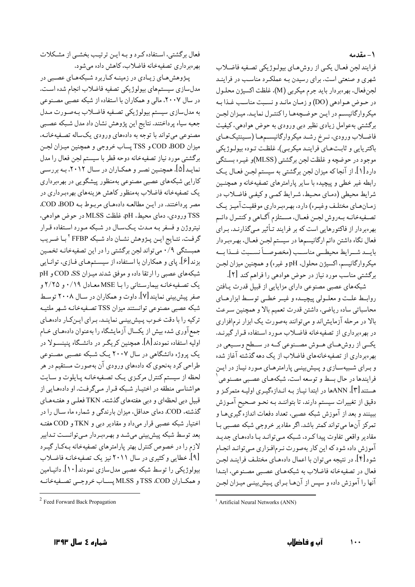### ١- مقدمه

فرايند لجن فعـال يكـي از روشهـاي بيولـوژيكي تصـفيه فاضـلاب شهری و صنعتی است. برای رسیدن بـه عملکـرد مناسـب در فراینـد لجن فعال، بهرهبردار بايد جرم ميكربي (M). غلظت اكسيژن محلـول در حـوض هـوادهي (DO) و زمـان مانـد و نسـبت مناسـب غـذا بـه میکروارگانیسه در این حوضچهها راکنتیرل نمایید. مییزان لجین برگشتی بهعوامل زیادی نظیر دبی ورودی به حوض هوادهی، کیفیت فاضـلاب ورودي، نـرخ رشـد ميكروارگانيسـمهـا (سـينتيکهـاي باکتریایی و ثابتهـای ّفراینـد میکربـی)، غلظت تـوده بیولـوژیکی موجود در حوضچه و غلظت لجن برگشتی (MLSS)و غیـره بسـتگی دارد [۱]. از آنجا که میزان لجن برگشتی به سیستم لجـن فعـال یـک رابطه غیر خطی و پیچیده با سایر پارامترهای تصفیهخانه و همچنـین شرايط محيطي (دمـاي محـيط، شـرايط كمـي و كيفـي فاضـلاب در زمان هـای مختلـف وغیـره) دارد، بهـرهبـرداری موفقیـتآمیـز یـک تصـفيهخانــه بــهروش لجــن فعــال، مســتلزم آگــاهي و كنتــرل دائــم بهرهبردار از فاکتورهایی است که بر فرایند تـأثیر مـی گذارنـد. بـرای فعال نگاه داشتن دائم ارگانیسمها در سیستم لجــن فعـال، بهــ, هبــ دار بايسد شسرايط محيطي مناسب (مخصوصياً نسسبت غسذا بسه ميکروارگانيسم، اکسيژن محلول، pH و غيره) و همچنين ميزان لجـن برگشتی مناسب مورد نیاز در حوض هوادهی را فراهم کند [۲].

شبکههای عصبی مصنوعی دارای مزایایی از قبیل قدرت پـافتن روابيط عليت و معليولي پيچينده و غيير خطبي توسيط ابزارهياي محاسباتي ساده رياضي، داشتن قدرت تعميم بالا و همچنين سـرعت بالا در مرحله آزمایشاند و میتوانند بهصورت یک ابزار نرمافزاری در بهرهبرداری از تصفیهخانه فاضلاب مـورد اسـتفاده قـرار گیرنـد. یکــی از روشهــای هــوش مصــنوعی کــه در ســطح وســیعی در بهرهبرداری از تصفیهخانههای فاضلاب از یک دهه گذشته آغاز شده و بـرای شـبیهسـازی و پـیش بینـی پارامترهـای مـورد نیـاز در ایـن فرایندها در حال بسط و توسعه است، شبکههـای عصـبی مصـنوعی هستند [۳]. ANNها در ابتدا نیـاز بـه انـدازهگیـری اولیـه متمرکـز و دقیق از تغییرات سیستم دارند، تا بتواننـد بـه نحـو صـحیح آمـوزش ببینند و بعد از آموزش شبکه عصبی، تعداد دفعات اندازه گیریهـا و تمرکز آنها می تواند کمتر باشد. اگر مقادیر خروجی شبکه عصبی بـا مقادیر واقعی تفاوت پیدا کے د، شبکه مے توانید بیا دادہھای جدیید آموزش داده شود که این کار بهصورت نیرمافیزاری مبی توانید انجبام شود [۴]. در نتیجه می توان با اعمال دادهمای مختلف فراینـد لجـن فعال در تصفيهخانه فاضلاب به شبكههـاي عصـبي مصـنوعي، ابتـدا آنها را آموزش داده و سیس از آنهـا بـرای پـیش،پینـی میـزان لجـن

فعال برگشتی، استفاده کرد و بـه ایـن ترتیـب بخشـبی از مشـکلات بهرهبرداري تصفيهخانه فاضلاب، كاهش داده مى شود.

پـژوهش،هـاي زيـادي در زمينـه كـاربرد شـبكههـاي عصـبي در مدلسازی سیستمهای بیولوژیکی تصفیه فاضلاب انجام شده اسـّت. در سال ۲۰۰۷، مالی و همکاران با استفاده از شبکه عصبی مصنوعی به مدلسازي سيستم بيولوژيكي تصـفيه فاضـلاب بـهصـورت مـدل جعبه سياه پرداختند. نتايج اين پژوهش نشان داد مدل شـبكه عصـبي مصنوعی میتواند با توجه به دادههای ورودی یکساله تصـفیهخانـه، ميزان COD ،BOD و TSS يساب خروجي و همچنين ميـزان لجـن برگشتی مورد نیاز تصفیهخانه دوحه قطر با سیستم لجن فعال را مدل نمایـد[۵]. همچنـین نصـر و همکـاران در سـال ۲۰۱۲، بـه بررسـی کارایی شبکههای عصبی مصنوعی بهمنظور پیشگویی در بهرهبرداری یک تصفیهخانه فاضلاب بهمنظور کاهش هزینههای بهرهبرداری در مصر پرداختند. در ایـن مطالعـه دادههای مربـوط بـه COD .BOD. TSS ورودي، دماي محيط. pH، غلظت MLSS در حوض هوادهي، نیتروژن و فسفر بـه مـدت پـکسـال در شـبکه مـورد اسـتفاده قـرار گرفت. نتـايج ايـن پـژوهش نشـان داد شـبكه FFBP ٢ بـا ضـريب همبستگی ۹/۰ میتواند لجن برگشتی را در این تصفیهخانـه تخمـین بزند [۶]. پای و همکاران با استفاده از سیستمهای فـازی، توانـایی شبکههای عصبی را ارتقا داده و موفق شدند میـزان SS، COD و pH یک تصفیهخانه بیمارستانی را با MSE معادل ۰/۱۹ و ۲/۲۵ و صفر پیش بینی نمایند[۷]. داوت و همکاران در سـال ۲۰۰۸ توسـط شبکه عصبی مصنوعی توانستند میزان TSS تصـفیهخانـه شـهر ملتیـه ترکیه را با دقت خـوب پـیش;پنـی نماینـد. بـرای ایـنکـار دادههـای جمع آوری شده بیش از یکسال آزمایشگاه را بهعنوان دادههای خـام اولیه استفاده نمودند[۸]. همچنین کریگـر در دانشــگاه پنینســولا در یک پروژه دانشگاهی در سال ۲۰۰۷ یک شبکه عصبی مصنوعی طراحی کرد بهنحوی که دادههای ورودی آن بهصورت مستقیم در هر لحظه از سیستم کنترل مرکـزی یـک تصـفیهخانـه پـایلوت و سـایت هواشناسی منطقه در اختیـار شـبکه قـرار مـیگرفـت. او دادههـایی از قبیل دبی لحظهای و دبی هفتههای گذشته، TKN فعلبی و هفتـههـای گذشته، COD. دمای حداقل، میزان بارندگی و شماره ماه سـال را در اختیار شبکه عصبی قرار می داد و مقادیر دبی و TKN و COD هفتـه بعد توسط شبکه پیش بینی میشد و بهرهبردار میتوانست تـدابیر .<br>لازم را در خصوص کنترل بهتر پارامترهای تصفیهخانه بـهکـار گیـرد [۹]. خطایی و کثیری در سال ۲۰۱۱ نیز یک تصفیهخانـه فاضـلاب بیولوژیکی را توسط شبکه عصبی مدلسازی نمودند[۱۰]. دانیـامین و همكـاران TSS ،COD و MLSS پسـاب خروجـبي تصـفيهخانـه

<sup>&</sup>lt;sup>1</sup> Artificial Neural Networks (ANN)

<sup>&</sup>lt;sup>2</sup> Feed Forward Back Propagation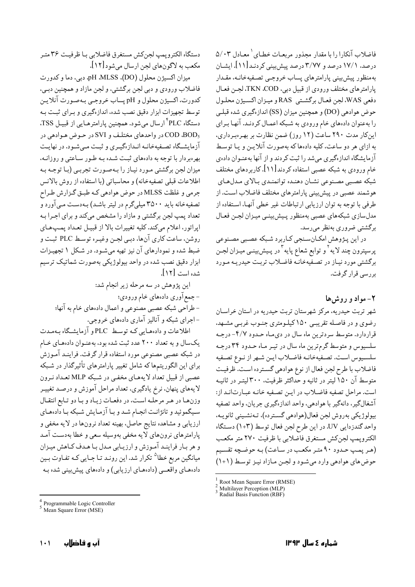فاضلاب آنکارا را با مقدار مجذور مربعـات خطـای ` معـادل ۵/۰۳ درصد، ۱۷/۱ درصد و ۳/۷۷ درصد پیش بینی کردنـد[۱۱]. ایشـان بهمنظور پیشبیی پارامترهای پساب خروجـی تصـفیهخانـه، مقـدار يارامترهاي مختلف ورودي از قبيل دبي، TKN .COD، لجـن فعـال دفعي WAS. لجن فعـال برگشـتي RAS و ميـزان اكسـيژن محلـول حوض هوادهي (DO) و همچنين ميزان (SS) اندازهگيري شده قبلـي را بهعنوان دادههای خام ورودی به شبکه اعمـال کردنـد. آنهـا بـرای این کار مدت ۲۹۰ ساعت (۱۲ روز) ضمن نظارت بر بهرهبرداری، به ازای هر دو ساعت، کلیه دادهها که بهصورت آنلایـن و یـا توسـط آزمایشگاه اندازهگیری میشد را ثبت کردند و از آنها بهعنـوان دادهی خام ورودي به شبكه عصبي استفاده كردند [۱۱]. كاربردهاي مختلف شبكه عصبي مصنوعي نشـان دهنـده توانمنـدي بـالاي مـدلهـاي هوشمند عصبی در پیش بینی پارامترهای مختلف فاضلاب است. از طرفی با توجه به توان ارزیابی ارتباطات غیر خطی آنهـا، اسـتفاده از مدلسازي شبكههاي عصبي بهمنظور پيش بينمي ميزان لجـن فعـال برگشتبی ضروری بهنظر میرسد.

در این پـژوهش امکـانسـنجي کـاربرد شـبکه عصـبي مصـنوعي پرسپترون چند لایه<sup>۲</sup> و توابع شعاع پایه<sup>۳</sup> در پـیش٫بینـی میـزان لجـن برگشتی مورد نیاز در تصفیهخانـه فاضـلاب تربـت حیدریـه مـورد بررسے قرار گرفت.

# ۲- مواد و روش ها

شهر تربت حیدریه، مرکز شهرستان تربت حیدریه در استان خراسان رضوي و در فاصله تقريبي ١٥٠ كيلـومتري جنـوب غربـي مشـهد، قراردارد. متوسط سردترین ماه سال در دیماه حـدود ۴/۷- درجـه سلسیوس و متوسط گرم ترین ماه سال در تیـر مـاه حـدود ۳۴ درجـه سلسيوس است. تصفيهخانـه فاضـلاب ايـن شـهر از نـوع تصـفيه فاضلاب با طرح لجن فعال از نوع هوادهي گسترده است. ظرفيت متوسط آن ۱۵۰ لیتر در ثانیه و حداکثر ظرفیت. ۳۰۰ لیتـر در ثانیـه است. مراحل تصفيه فاضلاب در ايـن تصـفيه خانـه عبـارت|نـد از: آشغالگير، دانهگير با هوادهي، واحد اندازهگيري جريان، واحد تصفيه بيولوژيكي بەروش لجن فعال(هوادهي گسترده)، تـەنشـيني ثانويـه، واحد گندزدایی UV. در این طرح لجن فعال توسط (۱+۳) دستگاه الكترويمپ لجنكش مستغرق فاصلابي با ظرفيت ٢٧٠ متر مكعب (هر پمپ حدود ۹۰ متر مکعب در ساعت) به حوضچه تقسیم حوض های هوادهی وارد می شود و لجن مازاد نیز توسط (۱+۱)

ارزیابی و مشاهده نتایج حاصل. بهینه تعداد نرونها در لایه مخفی و پارامترهای نرونهای لایه مخفی بهوسیله سعی و خطا بهدست آمـد و هر بار فراینـد آمـوزش و ارزیـابی مـدل بـا هـدف كـاهش میـزان میانگین مربع خطا<sup>۵</sup> تکرار شد. این رونـد تـا جـایی کـه تفـاوت بـین دادههـای واقعــی (دادههـای ارزیابی) و دادههای پیش بینی شده بـه

دستگاه الكتروپمپ لجنكش مستغرق فاضلابي بـا ظرفيـت ٣۶ متـر

فاضلاب ورودي و دبي لجن برگشتي، و لجن مازاد و همچنين دبـي،

كدورت، اكسيژن محلول و pH پساب خروجـي بـهصـورت آنلايـن

توسط تجهیزات ابزار دقیق نصب شده، اندازهگیری و بـرای ثبـت بـه

دستگاه PLC<sup>؟</sup> ارسال میشود. همچنین پارامترهـایی از قبیـل TSS.

در حوض هوادهي در واحدهاي مختلف و SVI در حوض هوادهي در

آزمایشگاه تصفیهخانـه انـدازهگیـری و ثبـت مـی شـود. در نهایـت

بهرهبردار با توجه به دادههای ثبت شده بـه طـور سـاعتی و روزانـه،

میزان لجن برگشتی مـورد نیـاز را بـهصـورت تجربـی (بـا توجـه بـه اطلاعات قبلي تصفيهخانه) و محاسباتي (با استفاده از روش بالانس

جرمی و غلظت MLSS در حوض هوادهی که طبـق گـزارش طـراح

تصفیهخانه باید ۳۵۰۰ میلی گرم در لیتر باشد) بـهدسـت مـی آورد و تعداد پمپ لجن برگشتی و مازاد را مشخص میکند و برای اجـرا بـه

ايراتور، اعلام مي كند. كليه تغييرات بالا از قبيـل تعـداد يمـب هـاي

روشن، ساعت کاری آنها، دببی لجـن وغیـره توسـط PLC ثبـت و

ضبط شده و نمودارهای آن نیز تهیه میشود. در شکل ۱ تجهیزات ابزار دقیق نصب شده در واحد بیولوژیکی بهصورت شماتیک ترسیم

- طراحي شبكه عصبي مصنوعي و اعمال دادههاي خام به آنها؛

اطلاعات و دادههایی کـه توسط PLC و آزمایشـگاه بـهمـدت

یکسال و به تعداد ۲۰۰ عدد ثبت شده بود، بهعنـوان دادههـای خـام

در شبکه عصبی مصنوعی مورد استفاده قرار گرفت. فراینـد آمـوزش

برای این الگوریتمها که شامل تغییر پارامترهای تأثیرگذار در شبکه

عصبي از قبيل تعداد لايههـاي مخفـي در شـبكه MLP تعـداد نـرون

لايههاي پنهان، نرخ يادگيري، تعداد مراحل آموزش و درصـد تغييـر

وزنها در هر مرحله است، در دفعات زياد وبا دو تابع انتقال

سـیگموئید و تانژانـت انجـام شـد و بـا آزمـایش شـبکه بـا دادههـای

این پژوهش در سه مرحله زیر انجام شد:

–اجرای شبکه و آنالیز آماری دادههای خروجی.

- جمع آوري دادههاي خام ورودي؛

شده است [۱۲].

ميزان اكسيژن محلول (DO)، pH .MLSS، دبي، دما و كدورت

مکعب به لاگونهای لجن ارسال می شود [۱۲].

Root Mean Square Error (RMSE)<br>Multilayer Perception (MLP)

Radial Basis Function (RBF)

Programmable Logic Controller<br>Mean Square Error (MSE)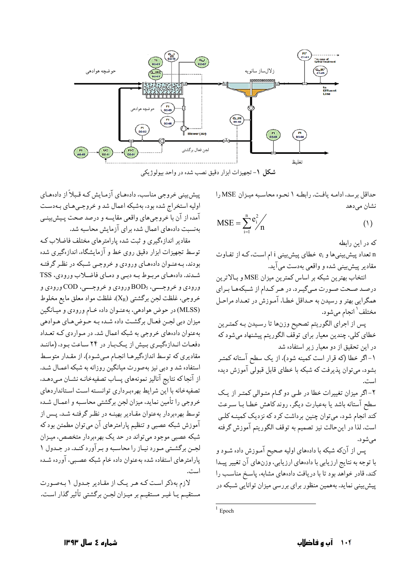

شکل ۱- تجهیزات ابزار دقیق نصب شده در واحد بیولوژیکی

حداقل برسد، ادامـه يافـت. رابطـه ١ نحـوه محاسـبه ميـزان MSE را نشان می دهد

$$
MSE = \sum_{i=1}^{n} e_i^2 / n \tag{1}
$$

که در این رابطه

n تعداد پیش بینی ها و e<sub>i</sub> خطای پیش بینی i ام است، کـه از تفـاوت مقادیر پیش بینی شده و واقعی بهدست می آید.

انتخاب بهترین شبکه بر اساس کمترین میزان MSE و بـالاترین درصد صحت صورت میگیرد. در هر کـدام از شـبکههـا بـراي همگرايي بهتر و رسيدن به حـداقل خطـا، آمـوزش در تعـداد مراحـل مختلف ٰ انجام ميشود.

پس از اجراي الگوريتم تصحيح وزنها تا رسيدن بـه كمتـرين خطای کلی، چندین معیار برای توقف الگوریتم پیشنهاد میشود که در این تحقیق از دو معیار زیر استفاده شد

١- اگر خطا (كه قرار است كمينه شود)، از يک سطح آستانه كمتـر بشود. میتوان پذیرفت که شبکه با خطای قابل قبولی آموزش دیده اسنا

۲-اگر میزان تغییرات خطا در طبی دو گـام متـوالی کمتـر از یـک سطح آستانه باشد يا بهعبارت ديگر، روند كاهش خطـا بـا سـرعت کند انجام شود، می توان چنین برداشت کرد که نزدیک کمینـه کلـی است. لذا در اینحالت نیز تصمیم به توقف الگوریتم آموزش گرفته مے شو د.

پس از آنکه شبکه با دادههای اولیه صحیح آمـوزش داده شـود و با توجه به نتايج ارزيابي با دادههاي ارزيابي، وزنهاي آن تغيير پيـدا کند، قادر خواهد بود تا با دریافت دادههای مشابه، پاسخ مناسب را پیش بینی نماید. بههمین منظور برای بررسی میزان توانایی شـبکه در

پیش بینی خروجی مناسب، دادههای آزمایش کـه قـبلاً از دادههـای اولیه استخراج شده بود، بهشبکه اعمال شد و خروجههای بهدست آمده از آن با خروجیهای واقعی مقایسه و درصد صحت پـیش بینـی بهنسبت دادههای اعمال شده برای آزمایش محاسبه شد.

مقادیر انداز گیری و ثبت شده پارامترهای مختلف فاضلاب ک توسط تجهیزات ابزار دقیق روی خط و آزمایشگاه، اندازهگیری شده بودند، به عنـوان دادههـاي ورودي و خروجـي شـبكه در نظـر گرفتـه شدند. دادههاي مربوط به دبيي و دماي فاضلاب ورودي، TSS ورودي و خروجـــي، BOD<sub>5</sub> ورودي و خروجـــي، COD ورودي و خروجي، غلظت لجن برگشتي  $(\rm X_R)$ ، غلظت مواد معلق مايع مخلوط (MLSS) در حوض هوادهي، به عنـوان داده خـام ورودي و ميـانگين میزان دبی لجـن فعـال برگشـت داده شـده بـه حـوض هـاي هـوادهي بهعنوان دادههای خروجی به شبکه اعمال شد. در مـواردی کـه تعـداد دفعات اندازهگیری بیش از یکبار در ۲۴ ساعت بود، (مانند مقادیری که توسط اندازهگیرهـا انجـام مـیشـود)، از مقـدار متوسـط استفاده شد و دبی نیز بهصورت میانگین روزانه به شبکه اعمـال شـد. از آنجا كه نتايج آناليز نمونههاي پساب تصفيهخانـه نشـان مـىدهـد. تصفیهخانه با این شرایط بهرهبرداری توانسته است استانداردهای خروجي را تأمين نمايد، ميزان لجن برگشتي محاسبه و اعمـال شـده توسط بهرهبردار بهعنوان مقـادیر بهینــه در نظـر گرفتــه شــد. پــس از آموزش شبکه عصبی و تنظیم پارامترهای آن میتوان مطمئن بود که شبکه عصبی موجود میتواند در حد یک بهرهبردار متخصص، میـزان لجـن برگشـتي مـورد نيـاز را محاسـبه و بـرآورد كنـد. در جـدول ١ پارامترهای استفاده شده بهعنوان داده خام شبکه عصببی، آورده شـده است.

لازم بهذكر است كـه هـر يـك از مقـادير جـدول ١ بـهصورت مستقیـم یـا غیـر مستقیـم بر میـزان لجـن برگشتی تأثیر گذار اسـت.

شمارہ ٤ سال ١٣٩٣

 $1$  Epoch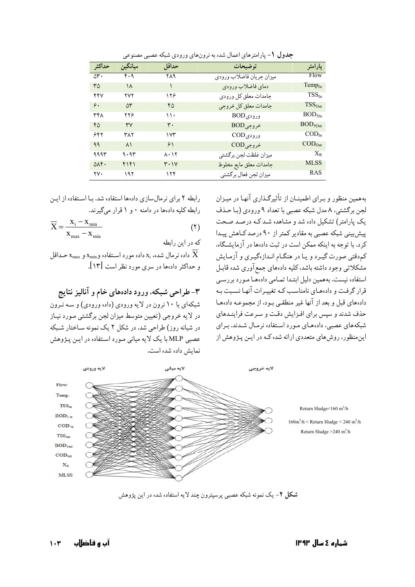| حداكثر                | ميانگين           | حداقل                     | تو ضیحات                      | پارامتر                   |
|-----------------------|-------------------|---------------------------|-------------------------------|---------------------------|
| $\Delta \mathbf{r}$ . | $f \cdot \gamma$  | ۲۸۹                       | ميزان جريان فاضلاب ورودي      | Flow                      |
| ۳۵                    | ۱۸                |                           | دماي فاضلاب ورودى             | $Temp_{In}$               |
| ۴۴۷                   | ۲۷۲               | ۱۲۶                       | جامدات معلق كل ورودي          | $TSS_{In}$                |
| ۶.                    | ۵٣                | ۴۵                        | جامدات معلق كل خروجي          | $TSS_{Out}$               |
| ۳۴۸                   | ۲۲۶               | ۱۱۰                       | ورودیBOD                      | $BOD_{5In}$               |
| ۴۵                    | ٣٧                | ٣٠                        | $BOD$ خروجی                   | BOD <sub>5Out</sub>       |
| ۶۴۲                   | ۳۸۲               | ۱۷۳                       | ورودیCOD                      | $\text{COD}_{\text{In}}$  |
| 99                    | $\lambda \lambda$ | 51                        | $\text{COD}_{\epsilon}$ خروجی | $\text{COD}_{\text{Out}}$ |
| ۹۹۹۳                  | 9.95              | $\lambda \cdot \lambda$ ٢ | ميزان غلظت لجن بركشتي         | $X_R$                     |
| $\Delta \Lambda f$ .  | ۴۱۴۱              | $Y \cdot Y$               | جامدات معلق مايع مخلوط        | MLSS                      |
| ۲۷.                   | ۱۹۲               | ۱۲۴                       | ميزان لجن فعال برگشتي         | <b>RAS</b>                |

جدول ١- پارامترهاي اعمال شده به نرونهاي ورودي شبكه عصبي مصنوعي

رابطه ۲ برای نرمالسازی دادهها استفاده شد. بـا اسـتفاده از ایـن رابطه کلیه دادهها در دامنه ۰ و ۱ قرار میگیرند.

$$
\overline{X} = \frac{x_i - x_{\min}}{x_{\max} - x_{\min}} \tag{1}
$$

كه در اين رابطه

داده نرمال شده، xi داده مورد استفاده و $x_{\rm min}$  و  $x_{\rm max}$  حداقل و حداکثر دادهها در سری مورد نظر است [۱۳].

۳- طراحی شبکه، ورود دادههای خام و آنالیز نتایج

شبکهای با ۱۰ نرون در لایه ورودی (داده ورودی) و سـه نـرون در لایه خروجی (تعیین متوسط میزان لجن برگشتی مـورد نیـاز در شبانه روز) طراحی شد. در شکل ۲ یک نمونه سـاختار شـبکه عصبي MLP با يک لايه ميانې مـورد اسـتفاده در ايـن پـڅوهش نمایش داده شده است.

بههمین منظور و بـرای اطمینــان از تأثیرگـذاری آنهـا در میــزان لحن برگشتی، ۸ مدل شبکه عصبی با تعداد ۹ ورودی (پا حیذف یک پارامتر) تشکیل داده شد و مشاهده شـد کـه درصـد صـحت ییش سنی شبکه عصبی به مقادیر کمتر از ۹۰ درصد کیاهش پییدا کرد. با توجه به اینکه ممکن است در ثبت دادهها در آزمایشگاه، کمدقتی صورت گیرد و یا در هنگـام انـدازهگیـری و آزمـایش مشکلاتی وجود داشته باشد، کلیه دادههای جمع آوری شده قابـل استفاده نیست. بههمین دلیل ابتـدا تمـامی دادههـا مـورد بررسـی قرار گرفت و دادههای نامناسب کـه تغییـرات آنهـا نسـبت بـه دادههای قبل و بعد از آنها غیر منطقے بود، از مجموعـه دادههـا حذف شدند و سیس برای افـزایش دقـت و سـرعت فراینـدهای شبکههای عصبی، دادههای مورد استفاده نرمال شدند. برای اینمنظور، روش های متعددی ارائه شده کـه در ایـن پـژوهش از



شکل ۲- یک نمونه شبکه عصبی پرسپترون چند لایه استفاده شده در این پژوهش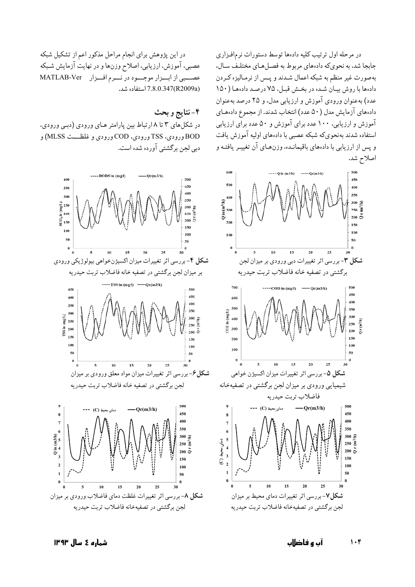در مرحله اول ترتیب کلیه دادهها توسط دستورات نرمافزاری جابجا شد، به نحويكه دادههاي مربوط به فصل هـاي مختلـف سـال، بهصورت غیر منظم به شبکه اعمال شـدند و پـس از نرمـالیزه کـردن دادهها با روش بيان شده در بخش قبل، ٧۵ درصد دادهما (١٥٠ عدد) به عنوان ورودي آموزش و ارزيابي مدل، و ٢۵ درصد به عنوان دادههای آزمایش مدل (۵۰ عدد) انتخاب شدند. از مجموع دادههای آموزش و ارزیابی، ۱۰۰ عدد برای آموزش و ۵۰ عدد برای ارزیابی استفاده شدند بهنحوىكه شبكه عصبي با دادههاي اوليه آموزش يافت و پس از ارزیابی با دادههای باقیمانـده، وزنهـای آن تغییـر یافتـه و اصلاح شد.



در این پژوهش برای انجام مراحل مذکور اعم از تشکیل شبکه عصبی، آموزش، ارزیابی، اصلاح وزنها و در نهایت آزمایش شـبکه سبي از ابسزار موجسود در نسرم افسزار MATLAB-Ver (R2009a) 7.8.0.347 استفاده شد.

## ۴-نتايج و بحث

در شکل های ۳ تا ۸ ارتباط بین پارامتر هـای ورودی (دبـی ورودی، BOD ورودي، TSS ورودي، COD ورودي و غلظـــت MLSS) و دبی لجن برگشتی آورده شده است.

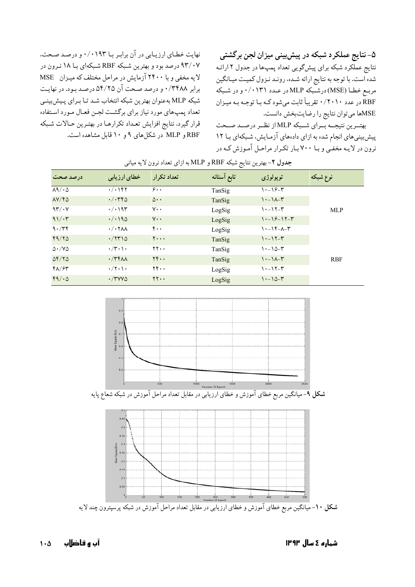۵- نتایج عملکرد شبکه در پیشبینی میزان لجن برگشتی نتایج عملّکرد شبکه برای پیشگویی تعداد پمپھا در جدول ۲ ارائـه شده است. با توجه به نتایج ارائه شـده، رونـد نـزول کمیـت میـانگین مربـع خطـا (MSE)درشـبکه MLPدر عـدد ۰/۰۱۳۱ و در شـبکه .<br>RBF در عدد ۲۰۱۰/۰ تقریباً ثابت میشود کـه بـا توجـه بـه میـزان MSEها میتوان نتایج را رضایتبخش دانست.

بهتـرین نتیجــه بـرای شــبکه MLP از نظــر درصــد صــحت پیشبینی های انجام شده به ازای دادههای آزمایش، شبکهای بـا ۱۲ نرون در لایـه مخفـی و بـا ۷۰۰ بـار تکـرار مراحـل آمـوزش کـه در

نهایت خطای ارزیابی در آن برابر با ۰/۰۱۹۳ و درصد صحت، ۹۳/۰۷ درصد بود و بهترین شبکه RBF شبکهای بـا ۱۸ نـرون در لایه مخفی و با ۲۴۰۰ آزمایش در مراحل مختلف که میزان MSE برابر ۰/۳۴۸۸ و درصد صحت آن ۵۴/۲۵ درصد بود. در نهایت شبکه MLP به عنوان بهترين شبکه انتخاب شـد تـا بـراي پـيش بينـي تعداد يمپ هاي مورد نياز براي برگشت لجـن فعـال مـورد اسـتفاده قرار گیرد. نتایج افزایش تعداد تکرارهـا در بهتـرین حـالات شـبکه RBF و MLP در شکلهای ۹ و ۱۰ قابل مشاهده است.

| ⊵<br>---                       |                                                    |                                          |             |                           |            |
|--------------------------------|----------------------------------------------------|------------------------------------------|-------------|---------------------------|------------|
| درصد صحت                       | خطای ارزیابی                                       | تعداد تكرار                              | تابع آستانه | توپولوژي                  | نوع شبكه   |
| $\lambda$ 9/ $\cdot$ $\Delta$  | $\cdot/\cdot$ \ ۴۲                                 | $\hat{\mathbf{y}}$ .                     | TanSig      | $\cdots$ $9 - 7$          |            |
| $\Delta V/F\Delta$             | $\cdot/\cdot$ ۳۴۵                                  | $\Delta \cdot \cdot$                     | TanSig      | $\lambda - \lambda - r$   |            |
| 97/14                          | $\cdot/\cdot$ 193                                  | $v \cdot$                                | LogSig      | $\cdots$                  | <b>MLP</b> |
| $91/\cdot 7$                   | $\cdot$ / $\cdot$ 190                              | $V \cdot \cdot$                          | LogSig      | $1 - 19 - 17 - 1$         |            |
| 9.779                          | $\cdot$ / $\cdot$ $\uparrow$ $\uparrow$ $\uparrow$ | $\mathfrak{r}\cdot\mathfrak{r}$          | LogSig      | $1 - 19 - 17$             |            |
| 99/70                          | $\cdot$ /۲۳۱۵                                      | $y \cdot \cdot \cdot$                    | TanSig      | $\cdots$ $\cdots$         |            |
| $\Delta \cdot / \sqrt{\Delta}$ | $\cdot/\mathbf{r}\cdot\mathbf{)}\cdot$             | $\mathbf{y} \cdot \mathbf{y}$            | TanSig      | $\cdots$ $\circ$ - $\tau$ |            |
| $\Delta f/\gamma \Delta$       | $\cdot$ /٣۴٨٨                                      | $YY \cdot \cdot$                         | TanSig      | $1 - 1 - 1$               | <b>RBF</b> |
| $f\lambda/f$                   | $\cdot/\tau\cdot\mathcal{C}$                       | $\mathbf{Y} \mathbf{F} \cdot \mathbf{F}$ | LogSig      | $\cdots$                  |            |
| 49/0                           | $\cdot$ /۳۷۷۵                                      | YY.                                      | LogSig      | $1 - 10 - 1$              |            |

| <b>جدول ۲</b> –بهترین نتایج شبکه RBF و MLP به ازای تعداد نرون لایه میانی |  |  |  |
|--------------------------------------------------------------------------|--|--|--|
|--------------------------------------------------------------------------|--|--|--|



شکل ۱۰- میانگین مربع خطای آموزش و خطای ارزیابی در مقابل تعداد مراحل آموزش در شبکه پرسپترون چند لایه

آں و فاضلاں  $1 \cdot \Delta$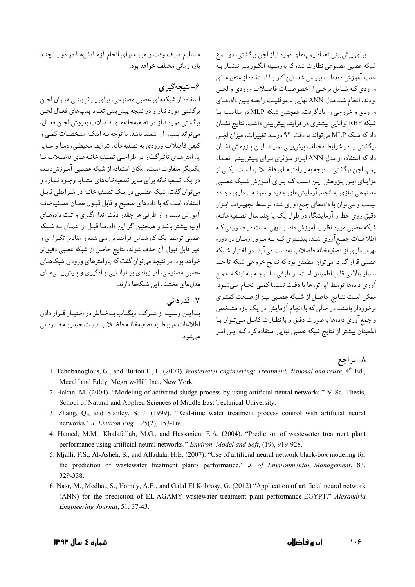برای پیش بینی تعداد یمپ های مورد نیاز لجن برگشتی، دو نبوع شبکه عصبي مصنوعي نظارت شده که بهوسـيله الگـوريتم انتشـار بـه عقب آموزش دیدهاند، بررسی شد. این کار بـا اسـتفاده از متغیرهـای ورودي كـه شـامل برخـي از خصوصـيات فاضـلاب ورودي و لجـن بودند، انجام شد. مدل ANN نهایی با موفقیت رابطه بین دادههای ورودي و خروجي را ياد گرفت. همچنين شبكه MLP در مقايسـه بـا شبکه RBF توانایی بیشتری در فرایند پیشبینی داشت. نتایج نشان داد که شبکه MLP می تواند با دقت ۹۳ درصد تغییرات، میزان لحین برگشتی را در شرایط مختلف پیش بینی نمایند. ایـن پـژوهش نشـان داد که استفاده از مدل ANN ابزار مؤثری برای پیش بینی تعداد يمپ لجن برگشتي با توجه به پارامترهـاي فاضـلاب اسـت، يكـي از مزایـای ایـن پـژوهش ایـن اسـت کـه بـرای آمـوزش شـبکه عصـبی مصنوعی نیازی به انجام آزمایش،ای جدید و نمونـهبـرداری مجـدد نیست و میتوان با دادههای جمع آوری شده توسط تجهیـزات ابـزار دقیق روی خط و آزمایشگاه در طول یک یا چند سال تصفیهخانـه، شبکه عصبی مورد نظر را آموزش داد. بـدیهی اسـت در صـورتی کـه اطلاعـات جمـع آوري شـده بيشـتري كـه بـه مـرور زمـان در دوره بهرهبرداری از تصفیهخانه فاضلاب بهدست می آید، در اختیار شبکه عصبي قرار گيرد، مي توان مطمئن بود كه نتايج خروجي شبكه تا حـد بسیار بالایی قابل اطمینان است. از طرفی با توجه به اینکه جمع آوري دادهها توسط اپراتورها با دقت نسبتاًكميي انجـام مـيشـود، ممكن است نتـايج حاصـل از شـبكه عصـبي نيـز از صـحت كمتـرى برخوردار باشند. در حالی که با انجام آزمایش در یک بازه مشـخص و جمع آوري دادهها بهصورت دقيق و با نظـارت كامـل مـي تـوان بـا اطمینان بیشتر از نتایج شبکه عصبی نهایی استفاده کرد کـه ایـن امـر

مستلزم صرف وقت و هزینه برای انجام آزمـایش هـا در دو یـا چنـد بازه زمانی مختلف خواهد بود.

۶- نتيجەگېرى

استفاده از شبکههای عصبی مصنوعی، برای پیش بینبی میزان لجـن برگشتي مورد نياز و در نتيجه پيش بيني تعداد يمپ هاي فعـال لجـن برگشتی مورد نیاز در تصفیهخانههای فاضلاب بهروش لجـن فعـال، می تواند بسیار ارزشمند باشد. با توجه بـه اینکـه مشخصـات کمّـی و کیفی فاضلاب ورودی به تصفیهخانه، شرایط محیطـی، دمـا و سـایر يارامترهـاي تأثيرگـذار در طراحـي تصـفيهخانـههـاي فاضـلاب بـا يكديگر متفاوت است، امكان استفاده از شبكه عصببي آمـوزش ديـده در یک تصفیهخانه برای سایر تصفیهخانههای مشـابه وجـود نـدارد و می توان گفت، شبکه عصبی در یک تصفیهخانـه در شـرایطی قابـل استفاده است كه با دادههاي صحيح و قابل قبـول همـان تصـفيهخانـه آموزش ببیند و از طرفی هر چقدر دقت اندازهگیری و ثبت دادههای اوليه بيشتر باشد و همچنين اگر اين دادهها قبل از اعمال به شبكه عصبی توسط یک کارشناس فرایند بررسی شده و مقادیر تکراری و غير قابل قبول آن حذف شوند، نتايج حاصل از شبكه عصبي دقيق تر خواهد بود. در نتیجه میتوان گفت که پارامترهای ورودی شبکههـای عصبي مصنوعي، اثر زيادي بر توانـايي پـادگيري و پـيش;پنـي هـاي مدل های مختلف این شبکهها دارند.

۷- قدر دانی بهايين وسيله از شيركت ديگياب بيهختاطر در اختيار قيرار دادن اطلاعات مربوط به تصفيهخانيه فاضلاب تربت حيدرييه قيدرداني مے شو د.

- ۸- مراجع 1. Tchobanoglous, G., and Burton F., L. (2003). Wastewater engineering: Treatment, disposal and reuse, 4<sup>th</sup> Ed., Mecalf and Eddy, Mcgraw-Hill Inc., New York.
- 2. Hakan, M. (2004). "Modeling of activated sludge process by using artificial neural networks." M.Sc. Thesis, School of Natural and Applied Sciences of Middle East Technical University.
- 3. Zhang, Q., and Stanley, S. J. (1999). "Real-time water treatment process control with artificial neural networks." *J. Environ Eng.* 125(2), 153-160.
- 4. Hamed, M.M., Khalafallah, M.G., and Hassanien, E.A. (2004). "Prediction of wastewater treatment plant performance using artificial neural networks." Environ. Model and Soft, (19), 919-928.
- 5. Mjalli, F.S., Al-Asheh, S., and Alfadala, H.E. (2007). "Use of artificial neural network black-box modeling for the prediction of wastewater treatment plants performance." J. of Environmental Management, 83, 329-338.
- 6. Nasr, M., Medhat, S., Hamdy, A.E., and Galal El Kobrosy, G. (2012) "Application of artificial neural network (ANN) for the prediction of EL-AGAMY wastewater treatment plant performance-EGYPT." Alexandria Engineering Journal, 51, 37-43.